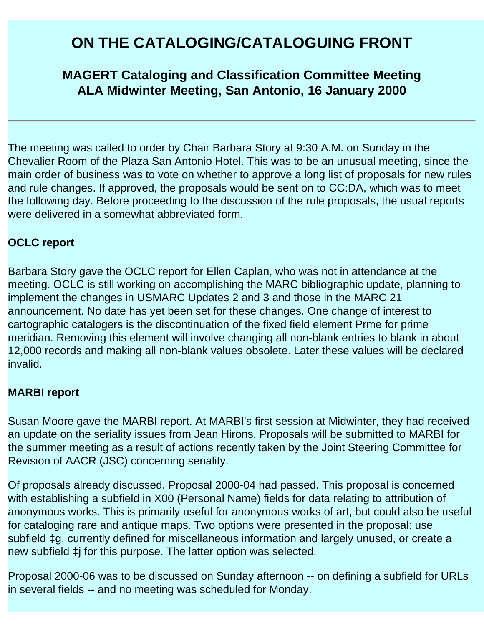# <span id="page-0-0"></span>**ON THE CATALOGING/CATALOGUING FRONT**

# **MAGERT Cataloging and Classification Committee Meeting ALA Midwinter Meeting, San Antonio, 16 January 2000**

The meeting was called to order by Chair Barbara Story at 9:30 A.M. on Sunday in the Chevalier Room of the Plaza San Antonio Hotel. This was to be an unusual meeting, since the main order of business was to vote on whether to approve a long list of proposals for new rules and rule changes. If approved, the proposals would be sent on to CC:DA, which was to meet the following day. Before proceeding to the discussion of the rule proposals, the usual reports were delivered in a somewhat abbreviated form.

## **OCLC report**

Barbara Story gave the OCLC report for Ellen Caplan, who was not in attendance at the meeting. OCLC is still working on accomplishing the MARC bibliographic update, planning to implement the changes in USMARC Updates 2 and 3 and those in the MARC 21 announcement. No date has yet been set for these changes. One change of interest to cartographic catalogers is the discontinuation of the fixed field element Prme for prime meridian. Removing this element will involve changing all non-blank entries to blank in about 12,000 records and making all non-blank values obsolete. Later these values will be declared invalid.

#### **MARBI report**

Susan Moore gave the MARBI report. At MARBI's first session at Midwinter, they had received an update on the seriality issues from Jean Hirons. Proposals will be submitted to MARBI for the summer meeting as a result of actions recently taken by the Joint Steering Committee for Revision of AACR (JSC) concerning seriality.

Of proposals already discussed, Proposal 2000-04 had passed. This proposal is concerned with establishing a subfield in X00 (Personal Name) fields for data relating to attribution of anonymous works. This is primarily useful for anonymous works of art, but could also be useful for cataloging rare and antique maps. Two options were presented in the proposal: use subfield ‡g, currently defined for miscellaneous information and largely unused, or create a new subfield ‡j for this purpose. The latter option was selected.

Proposal 2000-06 was to be discussed on Sunday afternoon -- on defining a subfield for URLs in several fields -- and no meeting was scheduled for Monday.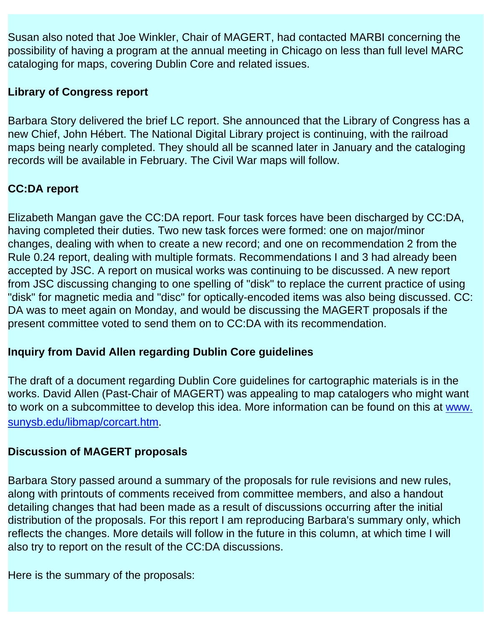Susan also noted that Joe Winkler, Chair of MAGERT, had contacted MARBI concerning the possibility of having a program at the annual meeting in Chicago on less than full level MARC cataloging for maps, covering Dublin Core and related issues.

## **Library of Congress report**

Barbara Story delivered the brief LC report. She announced that the Library of Congress has a new Chief, John Hébert. The National Digital Library project is continuing, with the railroad maps being nearly completed. They should all be scanned later in January and the cataloging records will be available in February. The Civil War maps will follow.

# **CC:DA report**

Elizabeth Mangan gave the CC:DA report. Four task forces have been discharged by CC:DA, having completed their duties. Two new task forces were formed: one on major/minor changes, dealing with when to create a new record; and one on recommendation 2 from the Rule 0.24 report, dealing with multiple formats. Recommendations I and 3 had already been accepted by JSC. A report on musical works was continuing to be discussed. A new report from JSC discussing changing to one spelling of "disk" to replace the current practice of using "disk" for magnetic media and "disc" for optically-encoded items was also being discussed. CC: DA was to meet again on Monday, and would be discussing the MAGERT proposals if the present committee voted to send them on to CC:DA with its recommendation.

#### **Inquiry from David Allen regarding Dublin Core guidelines**

The draft of a document regarding Dublin Core guidelines for cartographic materials is in the works. David Allen (Past-Chair of MAGERT) was appealing to map catalogers who might want to work on a subcommittee to develop this idea. More information can be found on this at [www.](file:///C|/magweb/libmap_corcart.htm) [sunysb.edu/libmap/corcart.htm.](file:///C|/magweb/libmap_corcart.htm)

## **Discussion of MAGERT proposals**

Barbara Story passed around a summary of the proposals for rule revisions and new rules, along with printouts of comments received from committee members, and also a handout detailing changes that had been made as a result of discussions occurring after the initial distribution of the proposals. For this report I am reproducing Barbara's summary only, which reflects the changes. More details will follow in the future in this column, at which time I will also try to report on the result of the CC:DA discussions.

Here is the summary of the proposals: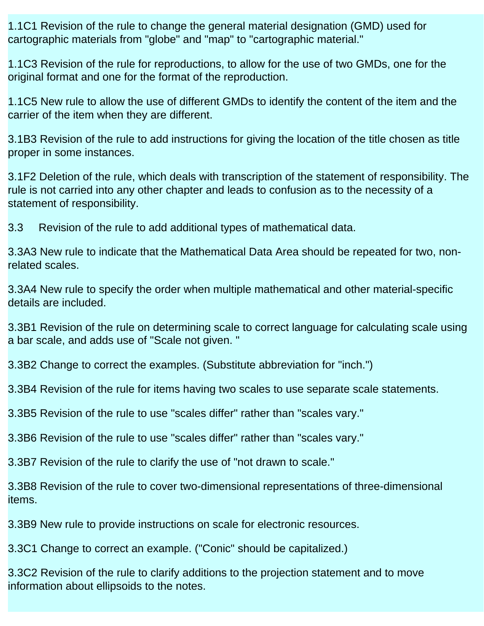1.1C1 Revision of the rule to change the general material designation (GMD) used for cartographic materials from "globe" and "map" to "cartographic material."

1.1C3 Revision of the rule for reproductions, to allow for the use of two GMDs, one for the original format and one for the format of the reproduction.

1.1C5 New rule to allow the use of different GMDs to identify the content of the item and the carrier of the item when they are different.

3.1B3 Revision of the rule to add instructions for giving the location of the title chosen as title proper in some instances.

3.1F2 Deletion of the rule, which deals with transcription of the statement of responsibility. The rule is not carried into any other chapter and leads to confusion as to the necessity of a statement of responsibility.

3.3 Revision of the rule to add additional types of mathematical data.

3.3A3 New rule to indicate that the Mathematical Data Area should be repeated for two, nonrelated scales.

3.3A4 New rule to specify the order when multiple mathematical and other material-specific details are included.

3.3B1 Revision of the rule on determining scale to correct language for calculating scale using a bar scale, and adds use of "Scale not given. "

3.3B2 Change to correct the examples. (Substitute abbreviation for "inch.")

3.3B4 Revision of the rule for items having two scales to use separate scale statements.

3.3B5 Revision of the rule to use "scales differ" rather than "scales vary."

3.3B6 Revision of the rule to use "scales differ" rather than "scales vary."

3.3B7 Revision of the rule to clarify the use of "not drawn to scale."

3.3B8 Revision of the rule to cover two-dimensional representations of three-dimensional items.

3.3B9 New rule to provide instructions on scale for electronic resources.

3.3C1 Change to correct an example. ("Conic" should be capitalized.)

3.3C2 Revision of the rule to clarify additions to the projection statement and to move information about ellipsoids to the notes.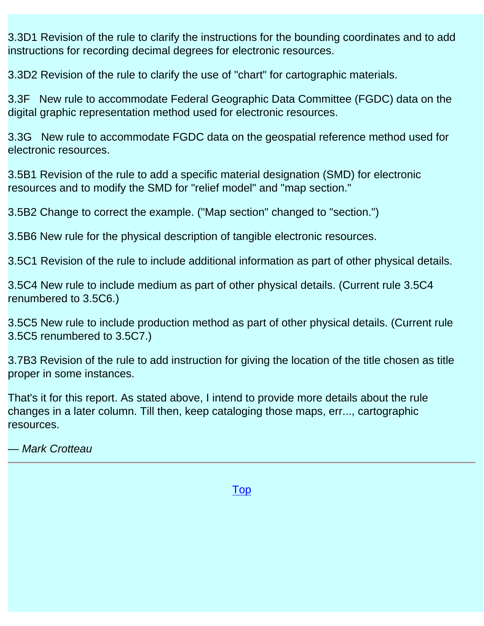3.3D1 Revision of the rule to clarify the instructions for the bounding coordinates and to add instructions for recording decimal degrees for electronic resources.

3.3D2 Revision of the rule to clarify the use of "chart" for cartographic materials.

3.3F New rule to accommodate Federal Geographic Data Committee (FGDC) data on the digital graphic representation method used for electronic resources.

3.3G New rule to accommodate FGDC data on the geospatial reference method used for electronic resources.

3.5B1 Revision of the rule to add a specific material designation (SMD) for electronic resources and to modify the SMD for "relief model" and "map section."

3.5B2 Change to correct the example. ("Map section" changed to "section.")

3.5B6 New rule for the physical description of tangible electronic resources.

3.5C1 Revision of the rule to include additional information as part of other physical details.

3.5C4 New rule to include medium as part of other physical details. (Current rule 3.5C4 renumbered to 3.5C6.)

3.5C5 New rule to include production method as part of other physical details. (Current rule 3.5C5 renumbered to 3.5C7.)

3.7B3 Revision of the rule to add instruction for giving the location of the title chosen as title proper in some instances.

That's it for this report. As stated above, I intend to provide more details about the rule changes in a later column. Till then, keep cataloging those maps, err..., cartographic resources.

— *Mark Crotteau* 

[Top](#page-0-0)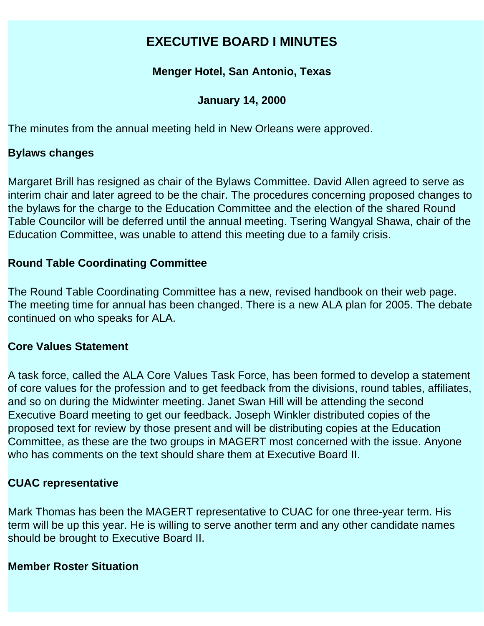# **EXECUTIVE BOARD I MINUTES**

#### **Menger Hotel, San Antonio, Texas**

#### **January 14, 2000**

<span id="page-4-0"></span>The minutes from the annual meeting held in New Orleans were approved.

#### **Bylaws changes**

Margaret Brill has resigned as chair of the Bylaws Committee. David Allen agreed to serve as interim chair and later agreed to be the chair. The procedures concerning proposed changes to the bylaws for the charge to the Education Committee and the election of the shared Round Table Councilor will be deferred until the annual meeting. Tsering Wangyal Shawa, chair of the Education Committee, was unable to attend this meeting due to a family crisis.

#### **Round Table Coordinating Committee**

The Round Table Coordinating Committee has a new, revised handbook on their web page. The meeting time for annual has been changed. There is a new ALA plan for 2005. The debate continued on who speaks for ALA.

#### **Core Values Statement**

A task force, called the ALA Core Values Task Force, has been formed to develop a statement of core values for the profession and to get feedback from the divisions, round tables, affiliates, and so on during the Midwinter meeting. Janet Swan Hill will be attending the second Executive Board meeting to get our feedback. Joseph Winkler distributed copies of the proposed text for review by those present and will be distributing copies at the Education Committee, as these are the two groups in MAGERT most concerned with the issue. Anyone who has comments on the text should share them at Executive Board II.

#### **CUAC representative**

Mark Thomas has been the MAGERT representative to CUAC for one three-year term. His term will be up this year. He is willing to serve another term and any other candidate names should be brought to Executive Board II.

#### **Member Roster Situation**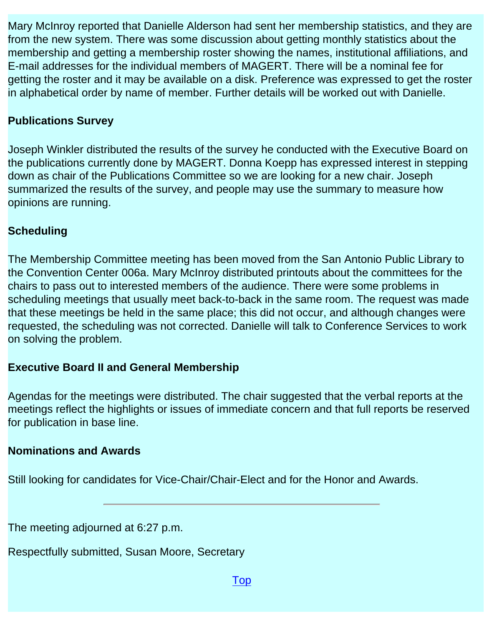Mary McInroy reported that Danielle Alderson had sent her membership statistics, and they are from the new system. There was some discussion about getting monthly statistics about the membership and getting a membership roster showing the names, institutional affiliations, and E-mail addresses for the individual members of MAGERT. There will be a nominal fee for getting the roster and it may be available on a disk. Preference was expressed to get the roster in alphabetical order by name of member. Further details will be worked out with Danielle.

## **Publications Survey**

Joseph Winkler distributed the results of the survey he conducted with the Executive Board on the publications currently done by MAGERT. Donna Koepp has expressed interest in stepping down as chair of the Publications Committee so we are looking for a new chair. Joseph summarized the results of the survey, and people may use the summary to measure how opinions are running.

## **Scheduling**

The Membership Committee meeting has been moved from the San Antonio Public Library to the Convention Center 006a. Mary McInroy distributed printouts about the committees for the chairs to pass out to interested members of the audience. There were some problems in scheduling meetings that usually meet back-to-back in the same room. The request was made that these meetings be held in the same place; this did not occur, and although changes were requested, the scheduling was not corrected. Danielle will talk to Conference Services to work on solving the problem.

#### **Executive Board II and General Membership**

Agendas for the meetings were distributed. The chair suggested that the verbal reports at the meetings reflect the highlights or issues of immediate concern and that full reports be reserved for publication in base line.

#### **Nominations and Awards**

Still looking for candidates for Vice-Chair/Chair-Elect and for the Honor and Awards.

The meeting adjourned at 6:27 p.m.

Respectfully submitted, Susan Moore, Secretary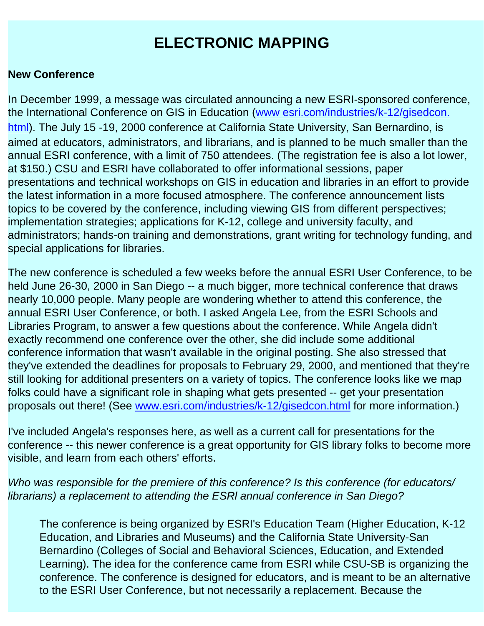# **ELECTRONIC MAPPING**

### **New Conference**

In December 1999, a message was circulated announcing a new ESRI-sponsored conference, the International Conference on GIS in Education ([www esri.com/industries/k-12/gisedcon.](http://www.esri.com/industries/k-12/gisedcon.html) [html](http://www.esri.com/industries/k-12/gisedcon.html)). The July 15 -19, 2000 conference at California State University, San Bernardino, is aimed at educators, administrators, and librarians, and is planned to be much smaller than the annual ESRI conference, with a limit of 750 attendees. (The registration fee is also a lot lower, at \$150.) CSU and ESRI have collaborated to offer informational sessions, paper presentations and technical workshops on GIS in education and libraries in an effort to provide the latest information in a more focused atmosphere. The conference announcement lists topics to be covered by the conference, including viewing GIS from different perspectives; implementation strategies; applications for K-12, college and university faculty, and administrators; hands-on training and demonstrations, grant writing for technology funding, and special applications for libraries.

The new conference is scheduled a few weeks before the annual ESRI User Conference, to be held June 26-30, 2000 in San Diego -- a much bigger, more technical conference that draws nearly 10,000 people. Many people are wondering whether to attend this conference, the annual ESRI User Conference, or both. I asked Angela Lee, from the ESRI Schools and Libraries Program, to answer a few questions about the conference. While Angela didn't exactly recommend one conference over the other, she did include some additional conference information that wasn't available in the original posting. She also stressed that they've extended the deadlines for proposals to February 29, 2000, and mentioned that they're still looking for additional presenters on a variety of topics. The conference looks like we map folks could have a significant role in shaping what gets presented -- get your presentation proposals out there! (See [www.esri.com/industries/k-12/gisedcon.html](http://www.esri.com/industries/k-12/gisedcon.html) for more information.)

I've included Angela's responses here, as well as a current call for presentations for the conference -- this newer conference is a great opportunity for GIS library folks to become more visible, and learn from each others' efforts.

 *librarians) a replacement to attending the ESRl annual conference in San Diego? Who was responsible for the premiere of this conference? Is this conference (for educators/* 

The conference is being organized by ESRI's Education Team (Higher Education, K-12 Education, and Libraries and Museums) and the California State University-San Bernardino (Colleges of Social and Behavioral Sciences, Education, and Extended Learning). The idea for the conference came from ESRI while CSU-SB is organizing the conference. The conference is designed for educators, and is meant to be an alternative to the ESRI User Conference, but not necessarily a replacement. Because the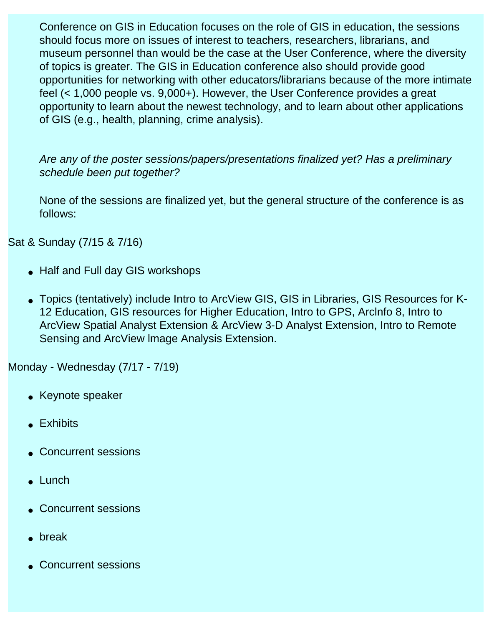Conference on GIS in Education focuses on the role of GIS in education, the sessions should focus more on issues of interest to teachers, researchers, librarians, and museum personnel than would be the case at the User Conference, where the diversity of topics is greater. The GIS in Education conference also should provide good opportunities for networking with other educators/librarians because of the more intimate feel (< 1,000 people vs. 9,000+). However, the User Conference provides a great opportunity to learn about the newest technology, and to learn about other applications of GIS (e.g., health, planning, crime analysis).

 *schedule been put together? Are any of the poster sessions/papers/presentations finalized yet? Has a preliminary* 

None of the sessions are finalized yet, but the general structure of the conference is as follows:

Sat & Sunday (7/15 & 7/16)

- Half and Full day GIS workshops
- Topics (tentatively) include Intro to ArcView GIS, GIS in Libraries, GIS Resources for K-12 Education, GIS resources for Higher Education, Intro to GPS, Arclnfo 8, Intro to ArcView Spatial Analyst Extension & ArcView 3-D Analyst Extension, Intro to Remote Sensing and ArcView lmage Analysis Extension.

Monday - Wednesday (7/17 - 7/19)

- Keynote speaker
- Exhibits
- Concurrent sessions
- Lunch
- Concurrent sessions
- break
- Concurrent sessions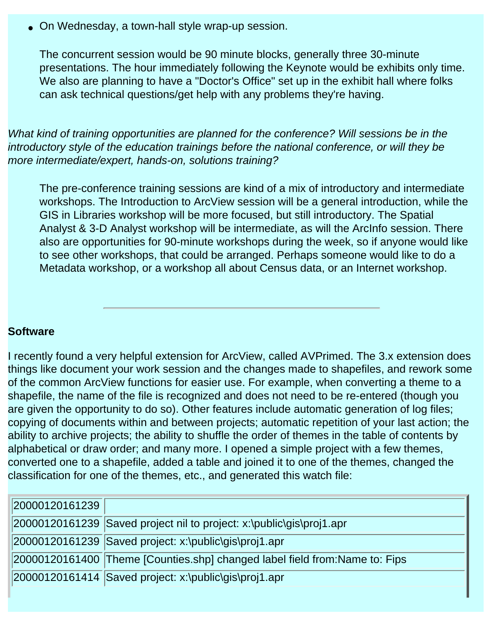● On Wednesday, a town-hall style wrap-up session.

The concurrent session would be 90 minute blocks, generally three 30-minute presentations. The hour immediately following the Keynote would be exhibits only time. We also are planning to have a "Doctor's Office" set up in the exhibit hall where folks can ask technical questions/get help with any problems they're having.

 *more intermediate/expert, hands-on, solutions training? What kind of training opportunities are planned for the conference? Will sessions be in the introductory style of the education trainings before the national conference, or will they be* 

The pre-conference training sessions are kind of a mix of introductory and intermediate workshops. The Introduction to ArcView session will be a general introduction, while the GIS in Libraries workshop will be more focused, but still introductory. The Spatial Analyst & 3-D Analyst workshop will be intermediate, as will the ArcInfo session. There also are opportunities for 90-minute workshops during the week, so if anyone would like to see other workshops, that could be arranged. Perhaps someone would like to do a Metadata workshop, or a workshop all about Census data, or an Internet workshop.

#### **Software**

I recently found a very helpful extension for ArcView, called AVPrimed. The 3.x extension does things like document your work session and the changes made to shapefiles, and rework some of the common ArcView functions for easier use. For example, when converting a theme to a shapefile, the name of the file is recognized and does not need to be re-entered (though you are given the opportunity to do so). Other features include automatic generation of log files; copying of documents within and between projects; automatic repetition of your last action; the ability to archive projects; the ability to shuffle the order of themes in the table of contents by alphabetical or draw order; and many more. I opened a simple project with a few themes, converted one to a shapefile, added a table and joined it to one of the themes, changed the classification for one of the themes, etc., and generated this watch file:

| 20000120161239 |                                                                             |
|----------------|-----------------------------------------------------------------------------|
|                | 20000120161239 Saved project nil to project: x:\public\gis\proj1.apr        |
|                | 20000120161239 Saved project: x:\public\gis\proj1.apr                       |
|                | 20000120161400 Theme [Counties.shp] changed label field from: Name to: Fips |
|                | 20000120161414 Saved project: x:\public\gis\proj1.apr                       |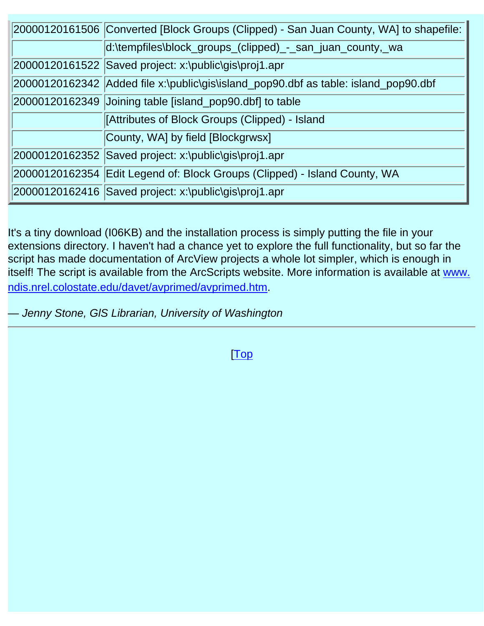| 20000120161506 Converted [Block Groups (Clipped) - San Juan County, WA] to shapefile: |
|---------------------------------------------------------------------------------------|
| d:\tempfiles\block_groups_(clipped)_-_san_juan_county,_wa                             |
| 20000120161522 Saved project: x:\public\gis\proj1.apr                                 |
| 20000120162342 Added file x:\public\gis\island_pop90.dbf as table: island_pop90.dbf   |
| 20000120162349 Joining table [island_pop90.dbf] to table                              |
| [Attributes of Block Groups (Clipped) - Island                                        |
| County, WA] by field [Blockgrwsx]                                                     |
| 20000120162352 Saved project: x:\public\gis\proj1.apr                                 |
| 20000120162354 Edit Legend of: Block Groups (Clipped) - Island County, WA             |
| 20000120162416 Saved project: x:\public\gis\proj1.apr                                 |

It's a tiny download (I06KB) and the installation process is simply putting the file in your extensions directory. I haven't had a chance yet to explore the full functionality, but so far the script has made documentation of ArcView projects a whole lot simpler, which is enough in itself! The script is available from the ArcScripts website. More information is available at [www.](http://www.ndis.nrel.colostate.edu/davet/avprimed/avprimed.htm) [ndis.nrel.colostate.edu/davet/avprimed/avprimed.htm](http://www.ndis.nrel.colostate.edu/davet/avprimed/avprimed.htm).

— *Jenny Stone, GlS Librarian, University of Washington* 

[Top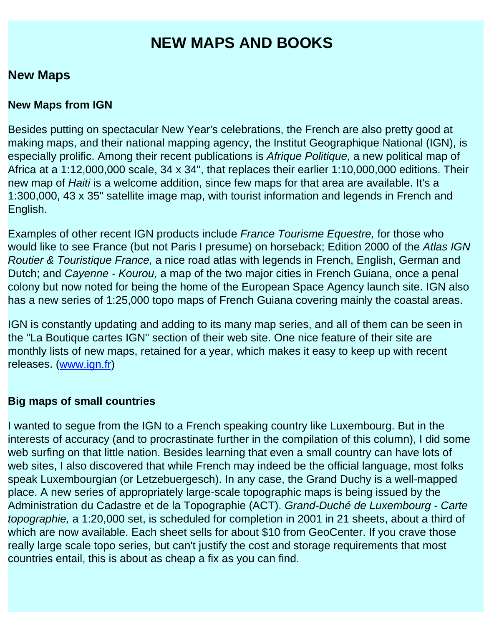# **NEW MAPS AND BOOKS**

## <span id="page-10-0"></span>**New Maps**

#### **New Maps from IGN**

Besides putting on spectacular New Year's celebrations, the French are also pretty good at making maps, and their national mapping agency, the Institut Geographique National (IGN), is especially prolific. Among their recent publications is *Afrique Politique,* a new political map of Africa at a 1:12,000,000 scale, 34 x 34", that replaces their earlier 1:10,000,000 editions. Their new map of *Haiti* is a welcome addition, since few maps for that area are available. It's a 1:300,000, 43 x 35" satellite image map, with tourist information and legends in French and English.

Examples of other recent IGN products include *France Tourisme Equestre,* for those who would like to see France (but not Paris I presume) on horseback; Edition 2000 of the *Atlas IGN Routier & Touristique France,* a nice road atlas with legends in French, English, German and Dutch; and *Cayenne - Kourou,* a map of the two major cities in French Guiana, once a penal colony but now noted for being the home of the European Space Agency launch site. IGN also has a new series of 1:25,000 topo maps of French Guiana covering mainly the coastal areas.

IGN is constantly updating and adding to its many map series, and all of them can be seen in the "La Boutique cartes IGN" section of their web site. One nice feature of their site are monthly lists of new maps, retained for a year, which makes it easy to keep up with recent releases. [\(www.ign.fr\)](http://www.ign.fr/)

## **Big maps of small countries**

I wanted to segue from the IGN to a French speaking country like Luxembourg. But in the interests of accuracy (and to procrastinate further in the compilation of this column), I did some web surfing on that little nation. Besides learning that even a small country can have lots of web sites, I also discovered that while French may indeed be the official language, most folks speak Luxembourgian (or Letzebuergesch). In any case, the Grand Duchy is a well-mapped place. A new series of appropriately large-scale topographic maps is being issued by the Administration du Cadastre et de la Topographie (ACT). *Grand-Duché de Luxembourg - Carte topographie,* a 1:20,000 set, is scheduled for completion in 2001 in 21 sheets, about a third of which are now available. Each sheet sells for about \$10 from GeoCenter. If you crave those really large scale topo series, but can't justify the cost and storage requirements that most countries entail, this is about as cheap a fix as you can find.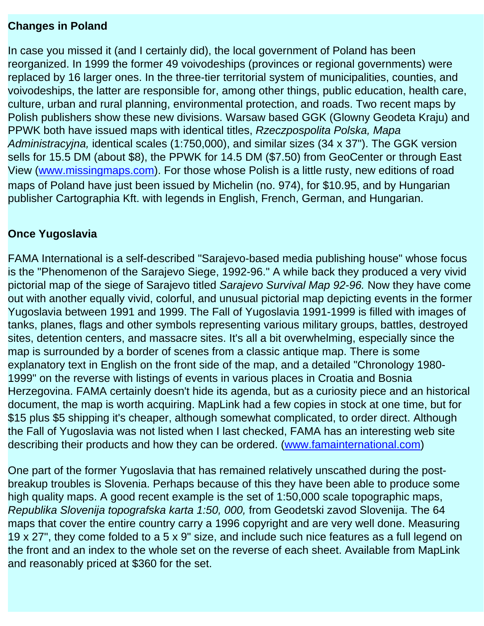#### **Changes in Poland**

In case you missed it (and I certainly did), the local government of Poland has been reorganized. In 1999 the former 49 voivodeships (provinces or regional governments) were replaced by 16 larger ones. In the three-tier territorial system of municipalities, counties, and voivodeships, the latter are responsible for, among other things, public education, health care, culture, urban and rural planning, environmental protection, and roads. Two recent maps by Polish publishers show these new divisions. Warsaw based GGK (Glowny Geodeta Kraju) and PPWK both have issued maps with identical titles, *Rzeczpospolita Polska, Mapa Administracyjna,* identical scales (1:750,000), and similar sizes (34 x 37"). The GGK version sells for 15.5 DM (about \$8), the PPWK for 14.5 DM (\$7.50) from GeoCenter or through East View ([www.missingmaps.com](http://www.missingmaps.com/)). For those whose Polish is a little rusty, new editions of road maps of Poland have just been issued by Michelin (no. 974), for \$10.95, and by Hungarian publisher Cartographia Kft. with legends in English, French, German, and Hungarian.

#### **Once Yugoslavia**

FAMA International is a self-described "Sarajevo-based media publishing house" whose focus is the "Phenomenon of the Sarajevo Siege, 1992-96." A while back they produced a very vivid pictorial map of the siege of Sarajevo titled *Sarajevo Survival Map 92-96.* Now they have come out with another equally vivid, colorful, and unusual pictorial map depicting events in the former Yugoslavia between 1991 and 1999. The Fall of Yugoslavia 1991-1999 is filled with images of tanks, planes, flags and other symbols representing various military groups, battles, destroyed sites, detention centers, and massacre sites. It's all a bit overwhelming, especially since the map is surrounded by a border of scenes from a classic antique map. There is some explanatory text in English on the front side of the map, and a detailed "Chronology 1980- 1999" on the reverse with listings of events in various places in Croatia and Bosnia Herzegovina. FAMA certainly doesn't hide its agenda, but as a curiosity piece and an historical document, the map is worth acquiring. MapLink had a few copies in stock at one time, but for \$15 plus \$5 shipping it's cheaper, although somewhat complicated, to order direct. Although the Fall of Yugoslavia was not listed when I last checked, FAMA has an interesting web site describing their products and how they can be ordered. [\(www.famainternational.com](http://www.famainternational.com/))

One part of the former Yugoslavia that has remained relatively unscathed during the postbreakup troubles is Slovenia. Perhaps because of this they have been able to produce some high quality maps. A good recent example is the set of 1:50,000 scale topographic maps, *Republika Slovenija topografska karta 1:50, 000,* from Geodetski zavod Slovenija. The 64 maps that cover the entire country carry a 1996 copyright and are very well done. Measuring 19 x 27", they come folded to a 5 x 9" size, and include such nice features as a full legend on the front and an index to the whole set on the reverse of each sheet. Available from MapLink and reasonably priced at \$360 for the set.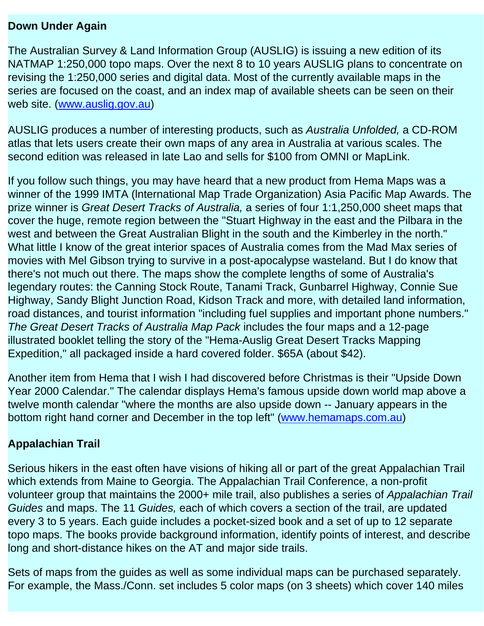#### **Down Under Again**

The Australian Survey & Land Information Group (AUSLIG) is issuing a new edition of its NATMAP 1:250,000 topo maps. Over the next 8 to 10 years AUSLIG plans to concentrate on revising the 1:250,000 series and digital data. Most of the currently available maps in the series are focused on the coast, and an index map of available sheets can be seen on their web site. ([www.auslig.gov.au\)](http://www.auslig.gov.au/)

AUSLIG produces a number of interesting products, such as *Australia Unfolded,* a CD-ROM atlas that lets users create their own maps of any area in Australia at various scales. The second edition was released in late Lao and sells for \$100 from OMNI or MapLink.

If you follow such things, you may have heard that a new product from Hema Maps was a winner of the 1999 IMTA (lnternational Map Trade Organization) Asia Pacific Map Awards. The prize winner is *Great Desert Tracks of Australia,* a series of four 1:1,250,000 sheet maps that cover the huge, remote region between the "Stuart Highway in the east and the Pilbara in the west and between the Great Australian Blight in the south and the Kimberley in the north." What little I know of the great interior spaces of Australia comes from the Mad Max series of movies with Mel Gibson trying to survive in a post-apocalypse wasteland. But I do know that there's not much out there. The maps show the complete lengths of some of Australia's legendary routes: the Canning Stock Route, Tanami Track, Gunbarrel Highway, Connie Sue Highway, Sandy Blight Junction Road, Kidson Track and more, with detailed land information, road distances, and tourist information "including fuel supplies and important phone numbers." *The Great Desert Tracks of Australia Map Pack* includes the four maps and a 12-page illustrated booklet telling the story of the "Hema-Auslig Great Desert Tracks Mapping Expedition," all packaged inside a hard covered folder. \$65A (about \$42).

Another item from Hema that I wish I had discovered before Christmas is their "Upside Down Year 2000 Calendar." The calendar displays Hema's famous upside down world map above a twelve month calendar "where the months are also upside down -- January appears in the bottom right hand corner and December in the top left" ([www.hemamaps.com.au](http://www.hemamaps.com.au/))

#### **Appalachian Trail**

Serious hikers in the east often have visions of hiking all or part of the great Appalachian Trail which extends from Maine to Georgia. The Appalachian Trail Conference, a non-profit volunteer group that maintains the 2000+ mile trail, also publishes a series of *Appalachian Trail Guides* and maps. The 11 *Guides,* each of which covers a section of the trail, are updated every 3 to 5 years. Each guide includes a pocket-sized book and a set of up to 12 separate topo maps. The books provide background information, identify points of interest, and describe long and short-distance hikes on the AT and major side trails.

Sets of maps from the guides as well as some individual maps can be purchased separately. For example, the Mass./Conn. set includes 5 color maps (on 3 sheets) which cover 140 miles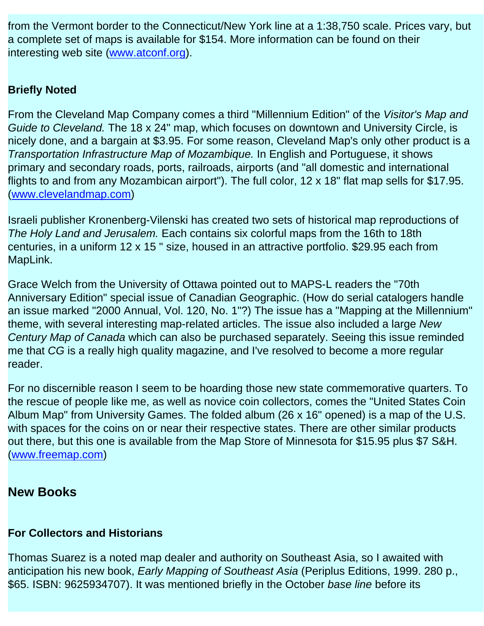from the Vermont border to the Connecticut/New York line at a 1:38,750 scale. Prices vary, but a complete set of maps is available for \$154. More information can be found on their interesting web site [\(www.atconf.org\)](http://www.atconf.org/).

## **Briefly Noted**

From the Cleveland Map Company comes a third "Millennium Edition" of the *Visitor's Map and Guide to Cleveland.* The 18 x 24" map, which focuses on downtown and University Circle, is nicely done, and a bargain at \$3.95. For some reason, Cleveland Map's only other product is a *Transportation Infrastructure Map of Mozambique.* In English and Portuguese, it shows primary and secondary roads, ports, railroads, airports (and "all domestic and international flights to and from any Mozambican airport"). The full color, 12 x 18" flat map sells for \$17.95. ([www.clevelandmap.com\)](http://www.clevelandmap.com/)

Israeli publisher Kronenberg-Vilenski has created two sets of historical map reproductions of *The Holy Land and Jerusalem.* Each contains six colorful maps from the 16th to 18th centuries, in a uniform 12 x 15 " size, housed in an attractive portfolio. \$29.95 each from MapLink.

Grace Welch from the University of Ottawa pointed out to MAPS-L readers the "70th Anniversary Edition" special issue of Canadian Geographic. (How do serial catalogers handle an issue marked "2000 Annual, Vol. 120, No. 1"?) The issue has a "Mapping at the Millennium" theme, with several interesting map-related articles. The issue also included a large *New Century Map of Canada* which can also be purchased separately. Seeing this issue reminded me that *CG* is a really high quality magazine, and I've resolved to become a more regular reader.

For no discernible reason I seem to be hoarding those new state commemorative quarters. To the rescue of people like me, as well as novice coin collectors, comes the "United States Coin Album Map" from University Games. The folded album (26 x 16" opened) is a map of the U.S. with spaces for the coins on or near their respective states. There are other similar products out there, but this one is available from the Map Store of Minnesota for \$15.95 plus \$7 S&H. ([www.freemap.com\)](http://www.freemap.com/)

# **New Books**

# **For Collectors and Historians**

Thomas Suarez is a noted map dealer and authority on Southeast Asia, so I awaited with anticipation his new book, *Early Mapping of Southeast Asia* (Periplus Editions, 1999. 280 p., \$65. ISBN: 9625934707). It was mentioned briefly in the October *base line* before its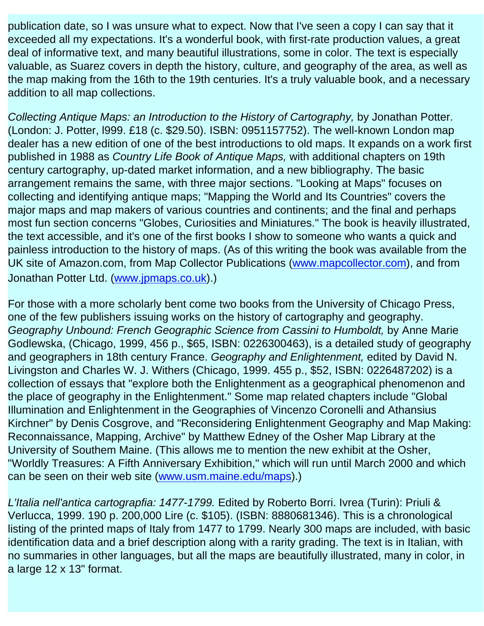publication date, so I was unsure what to expect. Now that I've seen a copy I can say that it exceeded all my expectations. It's a wonderful book, with first-rate production values, a great deal of informative text, and many beautiful illustrations, some in color. The text is especially valuable, as Suarez covers in depth the history, culture, and geography of the area, as well as the map making from the 16th to the 19th centuries. It's a truly valuable book, and a necessary addition to all map collections.

*Collecting Antique Maps: an Introduction to the History of Cartography,* by Jonathan Potter. (London: J. Potter, l999. £18 (c. \$29.50). ISBN: 0951157752). The well-known London map dealer has a new edition of one of the best introductions to old maps. It expands on a work first published in 1988 as *Country Life Book of Antique Maps,* with additional chapters on 19th century cartography, up-dated market information, and a new bibliography. The basic arrangement remains the same, with three major sections. "Looking at Maps" focuses on collecting and identifying antique maps; "Mapping the World and Its Countries" covers the major maps and map makers of various countries and continents; and the final and perhaps most fun section concerns "Globes, Curiosities and Miniatures." The book is heavily illustrated, the text accessible, and it's one of the first books I show to someone who wants a quick and painless introduction to the history of maps. (As of this writing the book was available from the UK site of Amazon.com, from Map Collector Publications [\(www.mapcollector.com](http://www.mapcollector.com/)), and from Jonathan Potter Ltd. ([www.jpmaps.co.uk](http://www.jpmaps.co.uk/)).)

For those with a more scholarly bent come two books from the University of Chicago Press, one of the few publishers issuing works on the history of cartography and geography. *Geography Unbound: French Geographic Science from Cassini to Humboldt,* by Anne Marie Godlewska, (Chicago, 1999, 456 p., \$65, ISBN: 0226300463), is a detailed study of geography and geographers in 18th century France. *Geography and Enlightenment,* edited by David N. Livingston and Charles W. J. Withers (Chicago, 1999. 455 p., \$52, ISBN: 0226487202) is a collection of essays that "explore both the Enlightenment as a geographical phenomenon and the place of geography in the Enlightenment." Some map related chapters include "Global Illumination and Enlightenment in the Geographies of Vincenzo Coronelli and Athansius Kirchner" by Denis Cosgrove, and "Reconsidering Enlightenment Geography and Map Making: Reconnaissance, Mapping, Archive" by Matthew Edney of the Osher Map Library at the University of Southem Maine. (This allows me to mention the new exhibit at the Osher, "Worldly Treasures: A Fifth Anniversary Exhibition," which will run until March 2000 and which can be seen on their web site ([www.usm.maine.edu/maps\)](http://www.usm.maine.edu/maps).)

*L'Italia nell'antica cartograpfia: 1477-1799.* Edited by Roberto Borri. Ivrea (Turin): Priuli & Verlucca, 1999. 190 p. 200,000 Lire (c. \$105). (ISBN: 8880681346). This is a chronological listing of the printed maps of Italy from 1477 to 1799. Nearly 300 maps are included, with basic identification data and a brief description along with a rarity grading. The text is in Italian, with no summaries in other languages, but all the maps are beautifully illustrated, many in color, in a large 12 x 13" format.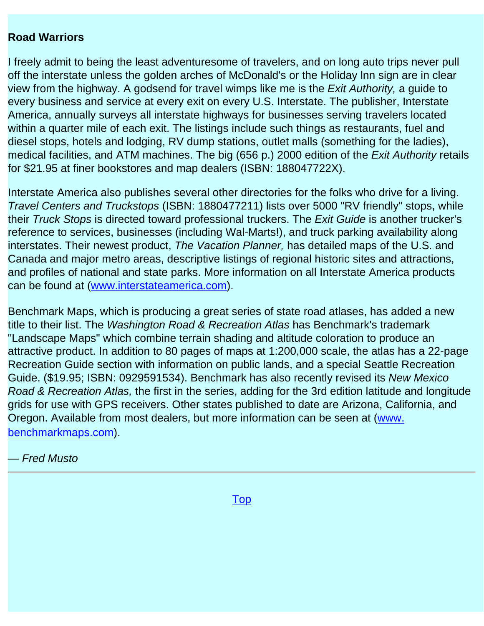#### **Road Warriors**

I freely admit to being the least adventuresome of travelers, and on long auto trips never pull off the interstate unless the golden arches of McDonald's or the Holiday lnn sign are in clear view from the highway. A godsend for travel wimps like me is the *Exit Authority,* a guide to every business and service at every exit on every U.S. Interstate. The publisher, Interstate America, annually surveys all interstate highways for businesses serving travelers located within a quarter mile of each exit. The listings include such things as restaurants, fuel and diesel stops, hotels and lodging, RV dump stations, outlet malls (something for the ladies), medical facilities, and ATM machines. The big (656 p.) 2000 edition of the *Exit Authority* retails for \$21.95 at finer bookstores and map dealers (ISBN: 188047722X).

Interstate America also publishes several other directories for the folks who drive for a living. *Travel Centers and Truckstops* (ISBN: 1880477211) lists over 5000 "RV friendly" stops, while their *Truck Stops* is directed toward professional truckers. The *Exit Guide* is another trucker's reference to services, businesses (including Wal-Marts!), and truck parking availability along interstates. Their newest product, *The Vacation Planner,* has detailed maps of the U.S. and Canada and major metro areas, descriptive listings of regional historic sites and attractions, and profiles of national and state parks. More information on all Interstate America products can be found at [\(www.interstateamerica.com\)](http://www.interstateamerica.com/).

Benchmark Maps, which is producing a great series of state road atlases, has added a new title to their list. The *Washington Road & Recreation Atlas* has Benchmark's trademark "Landscape Maps" which combine terrain shading and altitude coloration to produce an attractive product. In addition to 80 pages of maps at 1:200,000 scale, the atlas has a 22-page Recreation Guide section with information on public lands, and a special Seattle Recreation Guide. (\$19.95; ISBN: 0929591534). Benchmark has also recently revised its *New Mexico Road & Recreation Atlas,* the first in the series, adding for the 3rd edition latitude and longitude grids for use with GPS receivers. Other states published to date are Arizona, California, and Oregon. Available from most dealers, but more information can be seen at ([www.](http://www.benchmarkmaps.com/)  [benchmarkmaps.com\)](http://www.benchmarkmaps.com/).

— *Fred Musto*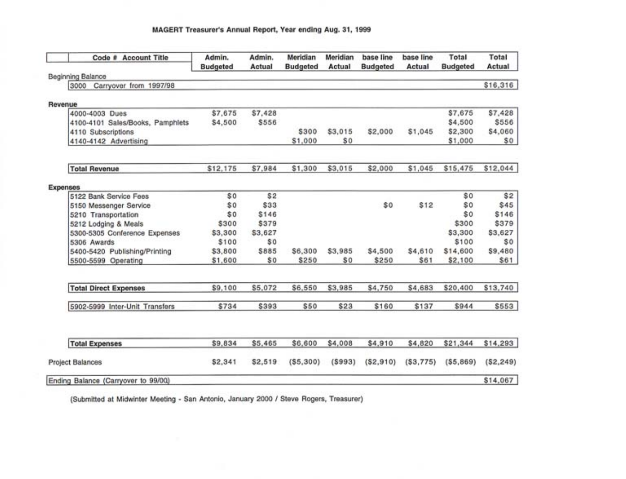| Code # Account Title                | Admin.<br><b>Budgeted</b> | Admin.<br>Actual | Meridian<br><b>Budgeted</b> | Meridian<br>Actual | base line<br><b>Budgeted</b> | base line<br>Actual | Total<br><b>Budgeted</b> | Total<br>Actual |
|-------------------------------------|---------------------------|------------------|-----------------------------|--------------------|------------------------------|---------------------|--------------------------|-----------------|
| Beginning Balance                   |                           |                  |                             |                    |                              |                     |                          |                 |
| 3000 Carryover from 1997/98         |                           |                  |                             |                    |                              |                     |                          | \$16,316        |
| Revenue                             |                           |                  |                             |                    |                              |                     |                          |                 |
| 4000-4003 Dues                      | \$7.675                   | \$7.428          |                             |                    |                              |                     | \$7.675                  | \$7,428         |
| 4100-4101 Sales/Books, Pamphlets    | \$4,500                   | \$556            |                             |                    |                              |                     | \$4,500                  | \$556           |
| 4110 Subscriptions                  |                           |                  | \$300                       | \$3,015            | \$2,000                      | \$1,045             | \$2,300                  | \$4,060         |
| 4140-4142 Advertising               |                           |                  | \$1,000                     | \$0                |                              |                     | \$1,000                  | \$0             |
| <b>Total Revenue</b>                | \$12,175                  | \$7,984          | \$1,300                     | \$3.015            | \$2,000                      | \$1.045             | \$15.475                 | \$12,044        |
|                                     |                           |                  |                             |                    |                              |                     |                          |                 |
| Expenses<br>5122 Bank Service Fees  | \$0                       | \$2              |                             |                    |                              |                     | \$0                      | \$2             |
| 5150 Messenger Service              | \$0                       | \$33             |                             |                    | \$0                          | S <sub>12</sub>     | \$0                      | \$45            |
| 5210 Transportation                 | \$0                       | \$146            |                             |                    |                              |                     | \$0                      | <b>S146</b>     |
| 5212 Lodging & Meals                | \$300                     | \$379            |                             |                    |                              |                     | \$300                    | \$379           |
| 5300-5305 Conference Expenses       | \$3,300                   | \$3.627          |                             |                    |                              |                     | \$3,300                  | \$3,627         |
| 5306 Awards                         | \$100                     | \$0              |                             |                    |                              |                     | \$100                    | \$0             |
| 5400-5420 Publishing/Printing       | \$3,800                   | \$885            | \$6,300                     | \$3,985            | \$4,500                      | \$4,610             | \$14,600                 | \$9,480         |
| 5500-5599 Operating                 | \$1,600                   | \$0              | \$250                       | \$0                | \$250                        | <b>S61</b>          | \$2,100                  | \$61            |
| <b>Total Direct Expenses</b>        | \$9,100                   | \$5,072          | \$6,550                     | \$3,985            | \$4,750                      | \$4,683             | \$20,400                 | \$13,740        |
| 5902-5999 Inter-Unit Transfers      | \$734                     | \$393            | \$50                        | \$23               | \$160                        | \$137               | \$944                    | \$553           |
|                                     |                           |                  |                             |                    |                              |                     |                          |                 |
| <b>Total Expenses</b>               | \$9,834                   | \$5,465          | \$6,600                     | \$4,008            | \$4,910                      | \$4,820             | \$21,344                 | \$14,293        |
| <b>Project Balances</b>             | \$2,341                   | S2.519           | ( \$5, 300)                 | (S993)             | (S2, 910)                    | (S3, 775)           | (S5, 869)                | (S2, 249)       |
| Ending Balance (Carryover to 99/00) |                           |                  |                             |                    |                              |                     |                          | \$14,067        |

(Submitted at Midwinter Meeting - San Antonio, January 2000 / Steve Rogers, Treasurer)